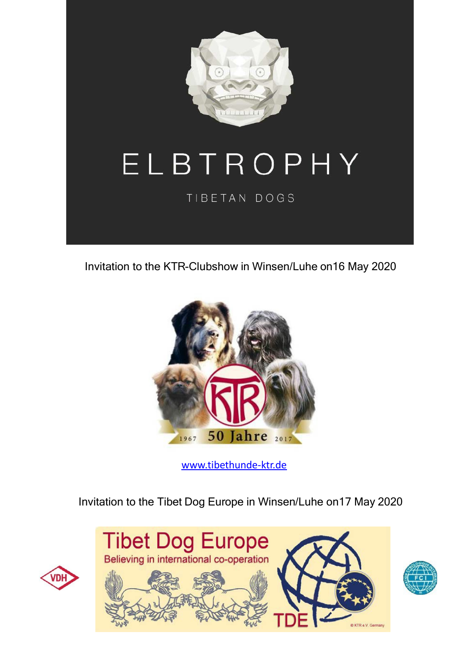

Invitation to the KTR-Clubshow in Winsen/Luhe on16 May 2020



www.tibethunde-ktr.de

## Invitation to the Tibet Dog Europe in Winsen/Luhe on17 May 2020





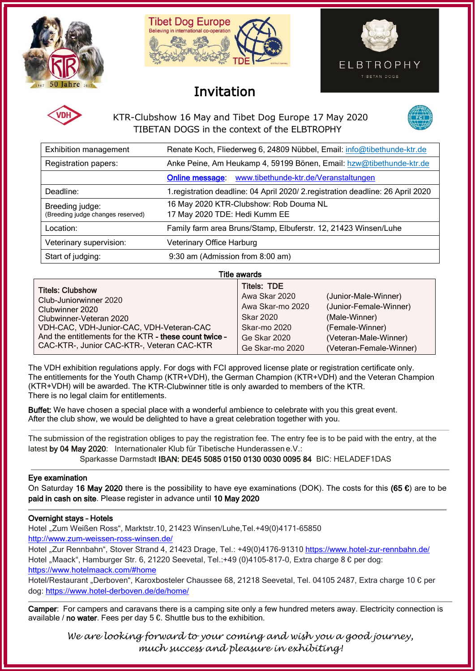



# Invitation





KTR-Clubshow 16 May and Tibet Dog Europe 17 May 2020 TIBETAN DOGS in the context of the ELBTROPHY



| <b>Exhibition management</b>                         | Renate Koch, Fliederweg 6, 24809 Nübbel, Email: info@tibethunde-ktr.de           |  |  |  |
|------------------------------------------------------|----------------------------------------------------------------------------------|--|--|--|
| Registration papers:                                 | Anke Peine, Am Heukamp 4, 59199 Bönen, Email: hzw@tibethunde-ktr.de              |  |  |  |
|                                                      | Online message: www.tibethunde-ktr.de/Veranstaltungen                            |  |  |  |
| Deadline:                                            | 1. registration deadline: 04 April 2020/ 2. registration deadline: 26 April 2020 |  |  |  |
| Breeding judge:<br>(Breeding judge changes reserved) | 16 May 2020 KTR-Clubshow: Rob Douma NL<br>17 May 2020 TDE: Hedi Kumm EE          |  |  |  |
| Location:                                            | Family farm area Bruns/Stamp, Elbuferstr. 12, 21423 Winsen/Luhe                  |  |  |  |
| Veterinary supervision:                              | Veterinary Office Harburg                                                        |  |  |  |
| Start of judging:                                    | 9:30 am (Admission from 8:00 am)                                                 |  |  |  |

Title awards

The VDH exhibition regulations apply. For dogs with FCI approved license plate or registration certificate only. The entitlements for the Youth Champ (KTR+VDH), the German Champion (KTR+VDH) and the Veteran Champion (KTR+VDH) will be awarded. The KTR-Clubwinner title is only awarded to members of the KTR. There is no legal claim for entitlements.

Buffet: We have chosen a special place with a wonderful ambience to celebrate with you this great event. After the club show, we would be delighted to have a great celebration together with you.

The submission of the registration obliges to pay the registration fee. The entry fee is to be paid with the entry, at the latest by 04 May 2020: Internationaler Klub für Tibetische Hunderassen e.V.:

Sparkasse Darmstadt IBAN: DE45 5085 0150 0130 0030 0095 84 BIC: HELADEF1DAS

### Eye examination

On Saturday 16 May 2020 there is the possibility to have eye examinations (DOK). The costs for this (65  $\epsilon$ ) are to be paid in cash on site. Please register in advance until 10 May 2020

### Overnight stays – Hotels

Hotel "Zum Weißen Ross", Marktstr.10, 21423 Winsen/Luhe,Tel.+49(0)4171-65850

<http://www.zum-weissen-ross-winsen.de/>

Hotel "Zur Rennbahn", Stover Strand 4, 21423 Drage, Tel.: +49(0)4176-91310 <https://www.hotel-zur-rennbahn.de/> Hotel "Maack", Hamburger Str. 6, 21220 Seevetal, Tel.:+49 (0)4105-817-0, Extra charge 8 € per dog:

<https://www.hotelmaack.com/#home>

Hotel/Restaurant "Derboven", Karoxbosteler Chaussee 68, 21218 Seevetal, Tel. 04105 2487, Extra charge 10 € per dog:<https://www.hotel-derboven.de/de/home/>

Camper: For campers and caravans there is a camping site only a few hundred meters away. Electricity connection is available / no water. Fees per day  $5 \epsilon$ . Shuttle bus to the exhibition.

*We are looking forward to your coming and wish you a good journey, much success and pleasure in exhibiting!*